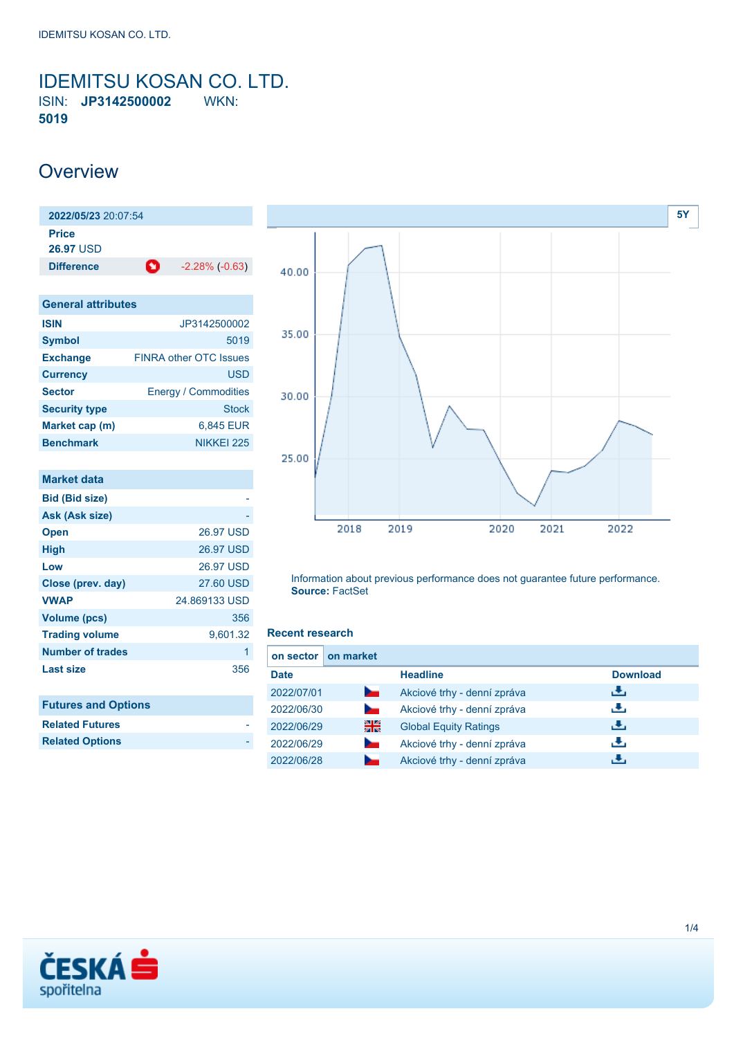<span id="page-0-0"></span>**IDEMITSU KOSAN CO. LTD.**<br>ISIN: **JP3142500002** WKN: **ISIN: JP3142500002 5019**

## **Overview**

**2022/05/23** 20:07:54 **Price 26.97** USD **Difference 1** -2.28% (-0.63)

| <b>General attributes</b> |                               |  |  |  |
|---------------------------|-------------------------------|--|--|--|
| <b>ISIN</b>               | JP3142500002                  |  |  |  |
| <b>Symbol</b>             | 5019                          |  |  |  |
| <b>Exchange</b>           | <b>FINRA other OTC Issues</b> |  |  |  |
| <b>Currency</b>           | <b>USD</b>                    |  |  |  |
| <b>Sector</b>             | <b>Energy / Commodities</b>   |  |  |  |
| <b>Security type</b>      | Stock                         |  |  |  |
| Market cap (m)            | 6,845 EUR                     |  |  |  |
| <b>Benchmark</b>          | NIKKEI 225                    |  |  |  |

| <b>Market data</b>         |               |
|----------------------------|---------------|
| <b>Bid (Bid size)</b>      |               |
| Ask (Ask size)             |               |
| <b>Open</b>                | 26.97 USD     |
| High                       | 26.97 USD     |
| Low                        | 26.97 USD     |
| Close (prev. day)          | 27.60 USD     |
| <b>VWAP</b>                | 24.869133 USD |
| Volume (pcs)               | 356           |
| <b>Trading volume</b>      | 9,601.32      |
| <b>Number of trades</b>    | 1             |
| <b>Last size</b>           | 356           |
|                            |               |
| <b>Futures and Options</b> |               |
| <b>Related Futures</b>     |               |
| <b>Related Options</b>     |               |



Information about previous performance does not guarantee future performance. **Source:** FactSet

#### **Recent research**

| on sector   | on market      |                              |                 |
|-------------|----------------|------------------------------|-----------------|
| <b>Date</b> |                | <b>Headline</b>              | <b>Download</b> |
| 2022/07/01  | b.             | Akciové trhy - denní zpráva  | رنان            |
| 2022/06/30  | <b>Service</b> | Akciové trhy - denní zpráva  | æ,              |
| 2022/06/29  | 꾊              | <b>Global Equity Ratings</b> | æ,              |
| 2022/06/29  | <b>Service</b> | Akciové trhy - denní zpráva  | J.              |
| 2022/06/28  |                | Akciové trhy - denní zpráva  |                 |

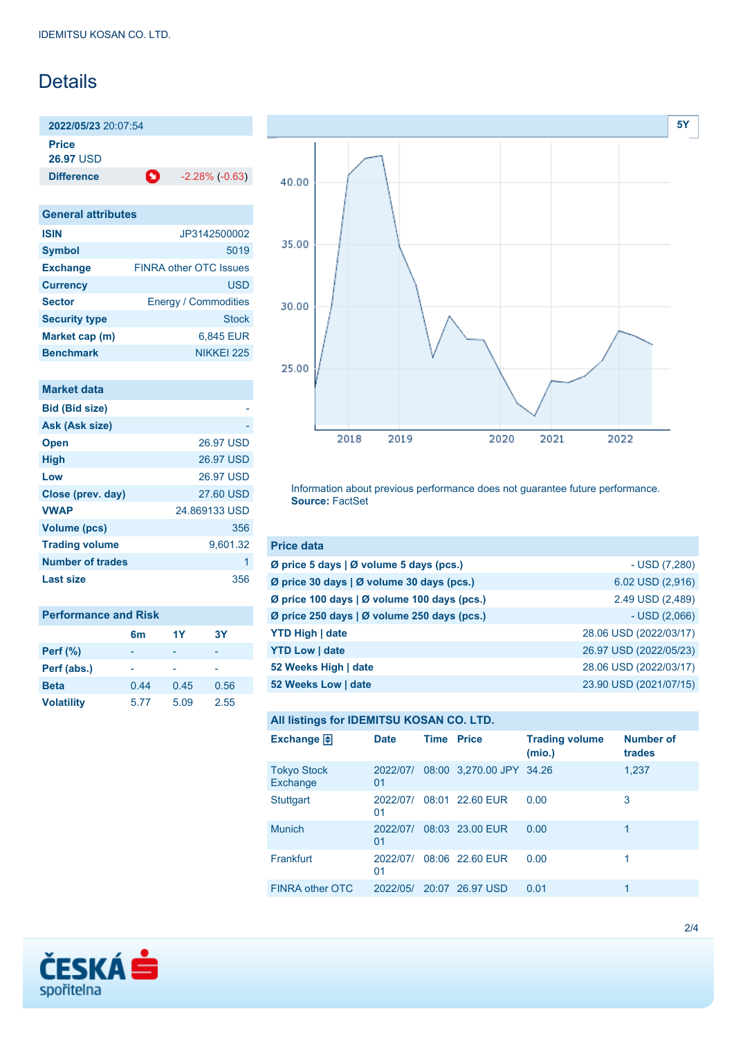# **Details**

**2022/05/23** 20:07:54

**Price**

**26.97** USD

**Difference 1** -2.28% (-0.63)

| <b>General attributes</b> |                               |  |  |  |
|---------------------------|-------------------------------|--|--|--|
| <b>ISIN</b>               | JP3142500002                  |  |  |  |
| <b>Symbol</b>             | 5019                          |  |  |  |
| <b>Exchange</b>           | <b>FINRA other OTC Issues</b> |  |  |  |
| <b>Currency</b>           | <b>USD</b>                    |  |  |  |
| <b>Sector</b>             | <b>Energy / Commodities</b>   |  |  |  |
| <b>Security type</b>      | Stock                         |  |  |  |
| Market cap (m)            | 6,845 EUR                     |  |  |  |
| <b>Benchmark</b>          | NIKKFI 225                    |  |  |  |

#### **Market data**

| 26.97 USD        |
|------------------|
| <b>26.97 USD</b> |
| <b>26.97 USD</b> |
| 27.60 USD        |
| 24.869133 USD    |
| 356              |
| 9,601.32         |
| 1                |
| 356              |
|                  |

| <b>Performance and Risk</b> |                |      |      |  |  |
|-----------------------------|----------------|------|------|--|--|
|                             | 6 <sub>m</sub> | 1Y   | 3Υ   |  |  |
| <b>Perf</b> (%)             |                |      |      |  |  |
| Perf (abs.)                 |                |      |      |  |  |
| <b>Beta</b>                 | 0.44           | 0.45 | 0.56 |  |  |
| <b>Volatility</b>           | 5.77           | 5.09 | 2.55 |  |  |



Information about previous performance does not guarantee future performance. **Source:** FactSet

| <b>Price data</b>                                     |                        |
|-------------------------------------------------------|------------------------|
| Ø price 5 days $\vert \emptyset$ volume 5 days (pcs.) | - USD (7,280)          |
| Ø price 30 days   Ø volume 30 days (pcs.)             | 6.02 USD (2,916)       |
| Ø price 100 days   Ø volume 100 days (pcs.)           | 2.49 USD (2,489)       |
| Ø price 250 days   Ø volume 250 days (pcs.)           | $-$ USD $(2,066)$      |
| <b>YTD High   date</b>                                | 28.06 USD (2022/03/17) |
| <b>YTD Low   date</b>                                 | 26.97 USD (2022/05/23) |
| 52 Weeks High   date                                  | 28.06 USD (2022/03/17) |
| 52 Weeks Low   date                                   | 23.90 USD (2021/07/15) |

## **All listings for IDEMITSU KOSAN CO. LTD.**

| Exchange $\Box$                | <b>Date</b>    | <b>Time Price</b> |                          | <b>Trading volume</b><br>(mio.) | <b>Number of</b><br>trades |
|--------------------------------|----------------|-------------------|--------------------------|---------------------------------|----------------------------|
| <b>Tokyo Stock</b><br>Exchange | 2022/07/<br>01 |                   | 08:00 3,270.00 JPY 34.26 |                                 | 1,237                      |
| <b>Stuttgart</b>               | 2022/07/<br>01 |                   | 08:01 22.60 EUR          | 0.00                            | 3                          |
| <b>Munich</b>                  | 2022/07/<br>01 |                   | 08:03 23.00 EUR          | 0.00                            | 1                          |
| Frankfurt                      | 2022/07/<br>01 |                   | 08:06 22.60 EUR          | 0.00                            |                            |
| <b>FINRA other OTC</b>         | 2022/05/       | 20:07             | 26.97 USD                | 0.01                            | 1                          |

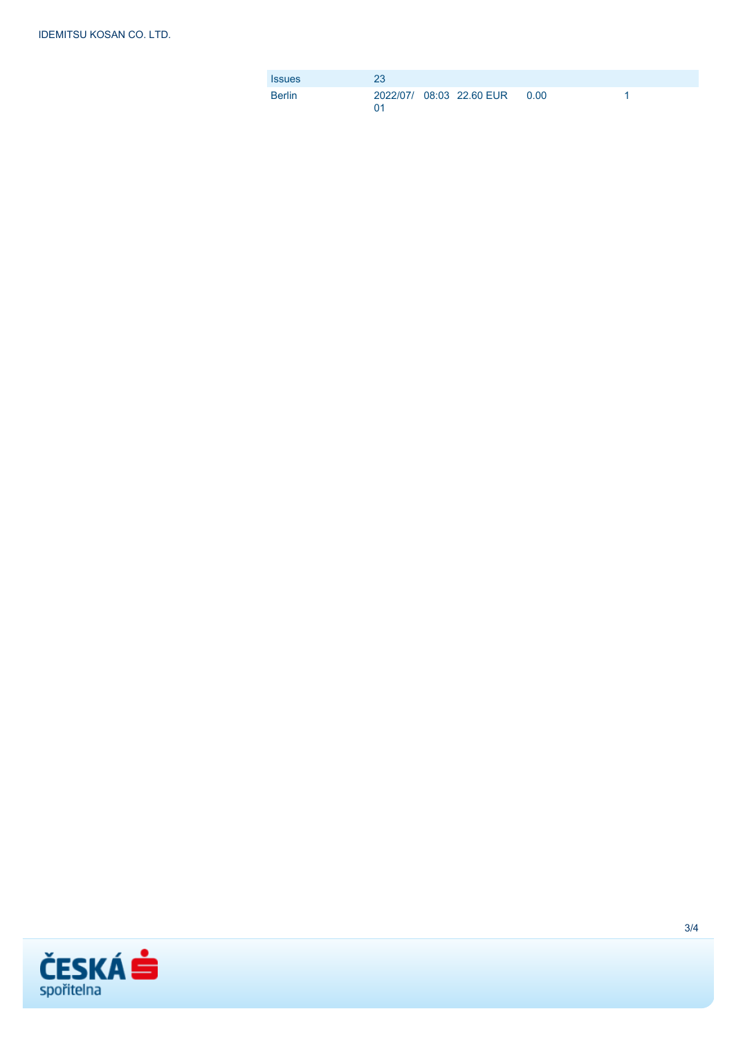| <b>Issues</b> | 23 |                                |  |
|---------------|----|--------------------------------|--|
| <b>Berlin</b> | በ1 | 2022/07/ 08:03 22.60 EUR  0.00 |  |